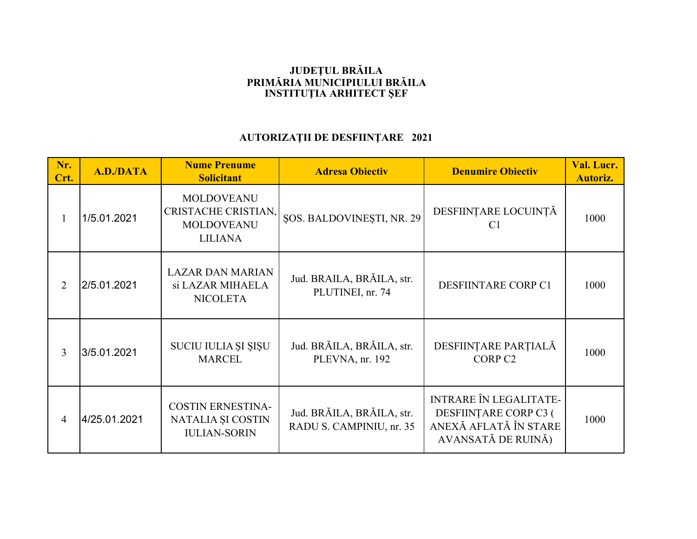## **JUDEŢUL BRĂILA PRIMĂRIA MUNICIPIULUI BRĂILAINSTITUŢIA ARHITECT ŞEF**

## **AUTORIZAŢII DE DESFIINŢARE 2021**

| Nr.<br>Crt.    | A.D./DATA    | <b>Nume Prenume</b><br><b>Solicitant</b>                                        | <b>Adresa Obiectiv</b>                                | <b>Denumire Obiectiv</b>                                                                              | Val. Lucr.<br><b>Autoriz.</b> |
|----------------|--------------|---------------------------------------------------------------------------------|-------------------------------------------------------|-------------------------------------------------------------------------------------------------------|-------------------------------|
|                | 1/5.01.2021  | <b>MOLDOVEANU</b><br>CRISTACHE CRISTIAN,<br><b>MOLDOVEANU</b><br><b>LILIANA</b> | <b>SOS. BALDOVINESTI, NR. 29</b>                      | DESFIINȚARE LOCUINȚĂ<br>C <sub>1</sub>                                                                | 1000                          |
| 2              | 2/5.01.2021  | <b>LAZAR DAN MARIAN</b><br>si LAZAR MIHAELA<br><b>NICOLETA</b>                  | Jud. BRAILA, BRĂILA, str.<br>PLUTINEI, nr. 74         | DESFIINTARE CORP C1                                                                                   | 1000                          |
| 3              | 3/5.01.2021  | SUCIU IULIA ȘI ȘIȘU<br><b>MARCEL</b>                                            | Jud. BRĂILA, BRĂILA, str.<br>PLEVNA, nr. 192          | DESFIINȚARE PARȚIALĂ<br>CORP <sub>C2</sub>                                                            | 1000                          |
| $\overline{4}$ | 4/25.01.2021 | <b>COSTIN ERNESTINA-</b><br>NATALIA ȘI COSTIN<br><b>IULIAN-SORIN</b>            | Jud. BRĂILA, BRĂILA, str.<br>RADU S. CAMPINIU, nr. 35 | <b>INTRARE ÎN LEGALITATE-</b><br>DESFIINȚARE CORP C3 (<br>ANEXĂ AFLATĂ ÎN STARE<br>AVANSATĂ DE RUINĂ) | 1000                          |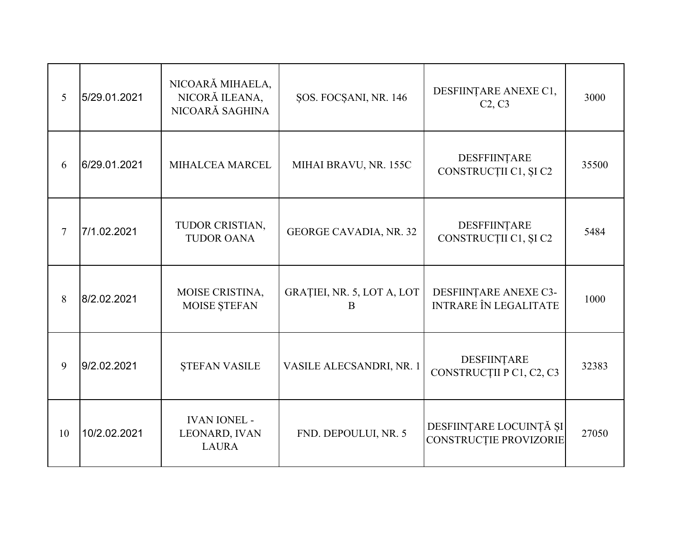| 5      | 5/29.01.2021 | NICOARĂ MIHAELA,<br>NICORĂ ILEANA,<br>NICOARĂ SAGHINA | ŞOS. FOCŞANI, NR. 146           | DESFIINȚARE ANEXE C1,<br>C2, C3                       | 3000  |
|--------|--------------|-------------------------------------------------------|---------------------------------|-------------------------------------------------------|-------|
| 6      | 6/29.01.2021 | MIHALCEA MARCEL                                       | MIHAI BRAVU, NR. 155C           | <b>DESFFIINTARE</b><br>CONSTRUCȚII C1, ȘI C2          | 35500 |
| $\tau$ | 7/1.02.2021  | TUDOR CRISTIAN,<br><b>TUDOR OANA</b>                  | <b>GEORGE CAVADIA, NR. 32</b>   | DESFFIINȚARE<br>CONSTRUCȚII C1, ȘI C2                 | 5484  |
| 8      | 8/2.02.2021  | MOISE CRISTINA,<br>MOISE ȘTEFAN                       | GRAȚIEI, NR. 5, LOT A, LOT<br>B | DESFIINȚARE ANEXE C3-<br><b>INTRARE ÎN LEGALITATE</b> | 1000  |
| 9      | 9/2.02.2021  | <b>STEFAN VASILE</b>                                  | VASILE ALECSANDRI, NR. 1        | DESFIINTARE<br>CONSTRUCȚII P C1, C2, C3               | 32383 |
| 10     | 10/2.02.2021 | <b>IVAN IONEL -</b><br>LEONARD, IVAN<br><b>LAURA</b>  | FND. DEPOULUI, NR. 5            | DESFIINȚARE LOCUINȚĂ ȘI<br>CONSTRUCȚIE PROVIZORIE     | 27050 |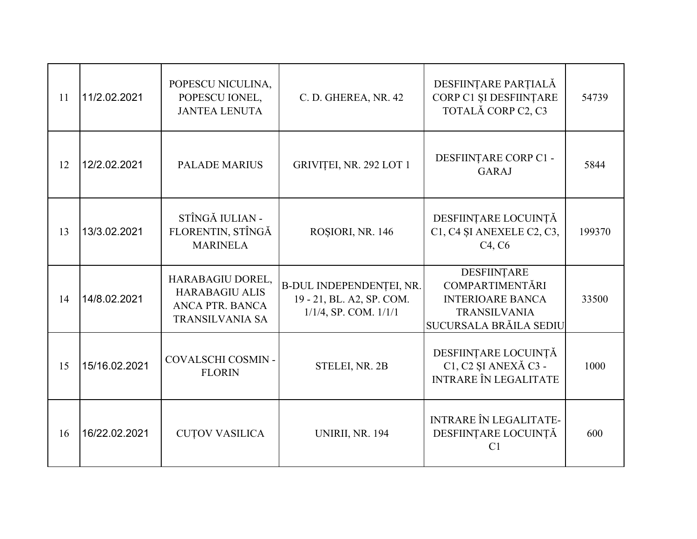| 11 | 11/2.02.2021  | POPESCU NICULINA,<br>POPESCU IONEL,<br><b>JANTEA LENUTA</b>                            | C. D. GHEREA, NR. 42                                                                | DESFIINȚARE PARȚIALĂ<br>CORP C1 ȘI DESFIINȚARE<br>TOTALĂ CORP C2, C3                                              | 54739  |
|----|---------------|----------------------------------------------------------------------------------------|-------------------------------------------------------------------------------------|-------------------------------------------------------------------------------------------------------------------|--------|
| 12 | 12/2.02.2021  | <b>PALADE MARIUS</b>                                                                   | GRIVIȚEI, NR. 292 LOT 1                                                             | DESFIINȚARE CORP C1 -<br><b>GARAJ</b>                                                                             | 5844   |
| 13 | 13/3.02.2021  | STÎNGĂ IULIAN -<br>FLORENTIN, STÎNGĂ<br><b>MARINELA</b>                                | ROSIORI, NR. 146                                                                    | DESFIINȚARE LOCUINȚĂ<br>C1, C4 ȘI ANEXELE C2, C3,<br>C <sub>4</sub> , C <sub>6</sub>                              | 199370 |
| 14 | 14/8.02.2021  | HARABAGIU DOREL,<br><b>HARABAGIU ALIS</b><br>ANCA PTR. BANCA<br><b>TRANSILVANIA SA</b> | B-DUL INDEPENDENȚEI, NR.<br>19 - 21, BL. A2, SP. COM.<br>$1/1/4$ , SP. COM. $1/1/1$ | DESFIINȚARE<br><b>COMPARTIMENTĂRI</b><br><b>INTERIOARE BANCA</b><br><b>TRANSILVANIA</b><br>SUCURSALA BRĂILA SEDIU | 33500  |
| 15 | 15/16.02.2021 | COVALSCHI COSMIN-<br><b>FLORIN</b>                                                     | STELEI, NR. 2B                                                                      | DESFIINȚARE LOCUINȚĂ<br>C1, C2 ȘI ANEXĂ C3 -<br><b>INTRARE ÎN LEGALITATE</b>                                      | 1000   |
| 16 | 16/22.02.2021 | <b>CUTOV VASILICA</b>                                                                  | <b>UNIRII, NR. 194</b>                                                              | <b>INTRARE ÎN LEGALITATE-</b><br>DESFIINȚARE LOCUINȚĂ<br>C <sub>1</sub>                                           | 600    |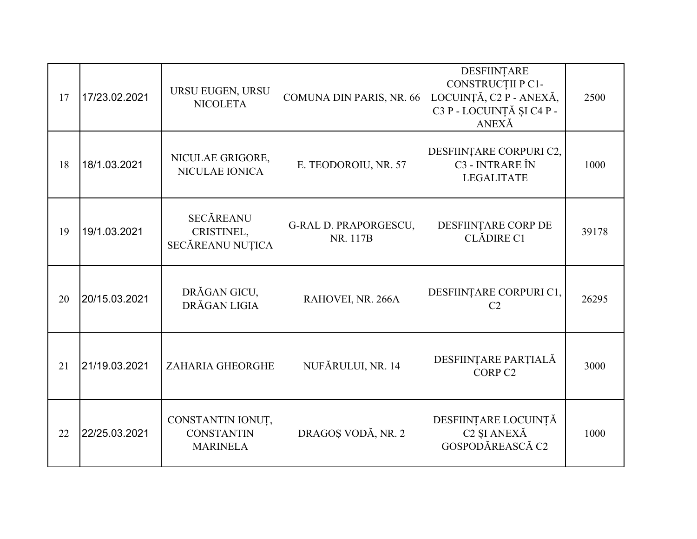| 17 | 17/23.02.2021 | URSU EUGEN, URSU<br><b>NICOLETA</b>                       | COMUNA DIN PARIS, NR. 66                 | DESFIINTARE<br>CONSTRUCȚII P C1-<br>LOCUINȚĂ, C2 P - ANEXĂ,<br>C3 P - LOCUINȚĂ ȘI C4 P -<br>ANEXĂ | 2500  |
|----|---------------|-----------------------------------------------------------|------------------------------------------|---------------------------------------------------------------------------------------------------|-------|
| 18 | 18/1.03.2021  | NICULAE GRIGORE,<br>NICULAE IONICA                        | E. TEODOROIU, NR. 57                     | DESFIINȚARE CORPURI C2,<br>C3 - INTRARE ÎN<br><b>LEGALITATE</b>                                   | 1000  |
| 19 | 19/1.03.2021  | <b>SECĂREANU</b><br>CRISTINEL,<br>SECĂREANU NUȚICA        | <b>G-RAL D. PRAPORGESCU,</b><br>NR. 117B | DESFIINTARE CORP DE<br>CLĂDIRE C1                                                                 | 39178 |
| 20 | 20/15.03.2021 | DRĂGAN GICU,<br>DRĂGAN LIGIA                              | RAHOVEI, NR. 266A                        | DESFIINȚARE CORPURI C1,<br>C <sub>2</sub>                                                         | 26295 |
| 21 | 21/19.03.2021 | ZAHARIA GHEORGHE                                          | NUFĂRULUI, NR. 14                        | DESFIINȚARE PARȚIALĂ<br>CORP <sub>C2</sub>                                                        | 3000  |
| 22 | 22/25.03.2021 | CONSTANTIN IONUȚ,<br><b>CONSTANTIN</b><br><b>MARINELA</b> | DRAGOȘ VODĂ, NR. 2                       | DESFIINȚARE LOCUINȚĂ<br>C <sub>2</sub> ŞI ANEXĂ<br>GOSPODĂREASCĂ C2                               | 1000  |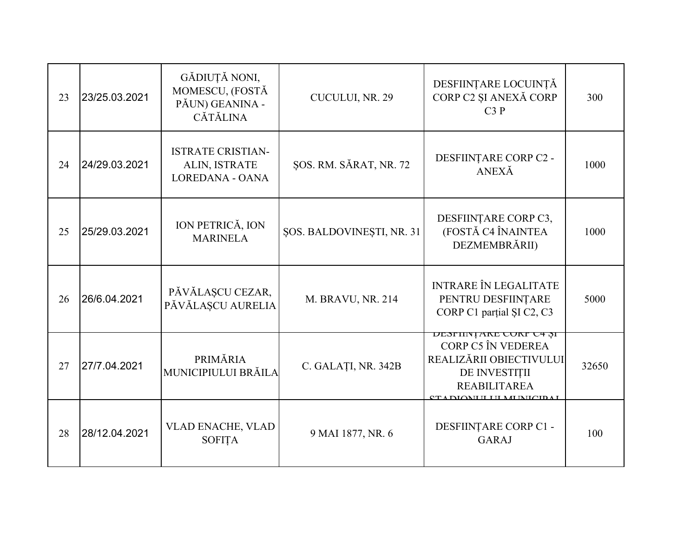| 23 | 23/25.03.2021 | GĂDIUȚĂ NONI,<br>MOMESCU, (FOSTĂ<br>PĂUN) GEANINA -<br><b>CĂTĂLINA</b> | CUCULUI, NR. 29           | DESFIINȚARE LOCUINȚĂ<br>CORP C2 ȘI ANEXĂ CORP<br>C3P                                                                                                       | 300   |
|----|---------------|------------------------------------------------------------------------|---------------------------|------------------------------------------------------------------------------------------------------------------------------------------------------------|-------|
| 24 | 24/29.03.2021 | <b>ISTRATE CRISTIAN-</b><br>ALIN, ISTRATE<br><b>LOREDANA - OANA</b>    | ŞOS. RM. SĂRAT, NR. 72    | DESFIINȚARE CORP C2 -<br>ANEXĂ                                                                                                                             | 1000  |
| 25 | 25/29.03.2021 | ION PETRICĂ, ION<br><b>MARINELA</b>                                    | ŞOS. BALDOVINEŞTI, NR. 31 | DESFIINȚARE CORP C3,<br>(FOSTĂ C4 ÎNAINTEA<br>DEZMEMBRĂRII)                                                                                                | 1000  |
| 26 | 26/6.04.2021  | PĂVĂLAȘCU CEZAR,<br>PĂVĂLAȘCU AURELIA                                  | M. BRAVU, NR. 214         | <b>INTRARE ÎN LEGALITATE</b><br>PENTRU DESFIINȚARE<br>CORP C1 partial SI C2, C3                                                                            | 5000  |
| 27 | 27/7.04.2021  | PRIMĂRIA<br><b>MUNICIPIULUI BRĂILA</b>                                 | C. GALAȚI, NR. 342B       | <b>DESFIINȚANE CONF C4 ȘI</b><br>CORP C5 ÎN VEDEREA<br>REALIZĂRII OBIECTIVULUI<br>DE INVESTIȚII<br><b>REABILITAREA</b><br><u>CT A DIOMH I HI MHAID A L</u> | 32650 |
| 28 | 28/12.04.2021 | <b>VLAD ENACHE, VLAD</b><br><b>SOFITA</b>                              | 9 MAI 1877, NR. 6         | DESFIINȚARE CORP C1 -<br><b>GARAJ</b>                                                                                                                      | 100   |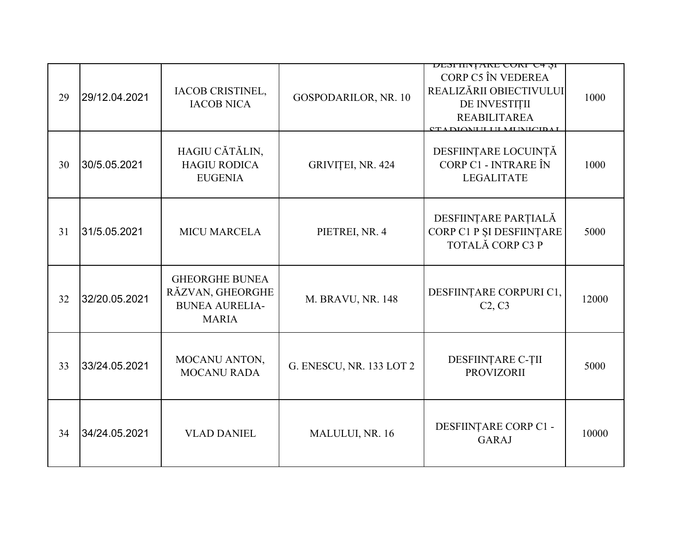| 29 | 29/12.04.2021 | IACOB CRISTINEL,<br><b>IACOB NICA</b>                                              | GOSPODARILOR, NR. 10     | <b>DESFIINȚANE CONF C4 ȘI</b><br>CORP C5 ÎN VEDEREA<br>REALIZĂRII OBIECTIVULUI<br>DE INVESTIȚII<br><b>REABILITAREA</b><br><b>CT A DIOMI II I II MI DILCID A I</b> | 1000  |
|----|---------------|------------------------------------------------------------------------------------|--------------------------|-------------------------------------------------------------------------------------------------------------------------------------------------------------------|-------|
| 30 | 30/5.05.2021  | HAGIU CĂTĂLIN,<br><b>HAGIU RODICA</b><br><b>EUGENIA</b>                            | GRIVIȚEI, NR. 424        | DESFIINȚARE LOCUINȚĂ<br>CORP C1 - INTRARE ÎN<br><b>LEGALITATE</b>                                                                                                 | 1000  |
| 31 | 31/5.05.2021  | <b>MICU MARCELA</b>                                                                | PIETREI, NR. 4           | DESFIINȚARE PARȚIALĂ<br>CORP C1 P ȘI DESFIINȚARE<br>TOTALĂ CORP C3 P                                                                                              | 5000  |
| 32 | 32/20.05.2021 | <b>GHEORGHE BUNEA</b><br>RĂZVAN, GHEORGHE<br><b>BUNEA AURELIA-</b><br><b>MARIA</b> | M. BRAVU, NR. 148        | DESFIINȚARE CORPURI C1,<br>C2, C3                                                                                                                                 | 12000 |
| 33 | 33/24.05.2021 | MOCANU ANTON,<br><b>MOCANU RADA</b>                                                | G. ENESCU, NR. 133 LOT 2 | DESFIINȚARE C-ȚII<br><b>PROVIZORII</b>                                                                                                                            | 5000  |
| 34 | 34/24.05.2021 | <b>VLAD DANIEL</b>                                                                 | MALULUI, NR. 16          | DESFIINȚARE CORP C1 -<br><b>GARAJ</b>                                                                                                                             | 10000 |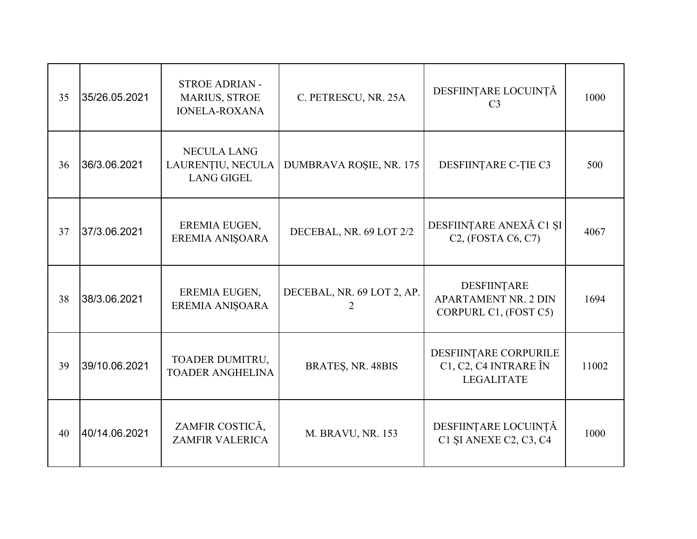| 35 | 35/26.05.2021 | <b>STROE ADRIAN -</b><br><b>MARIUS, STROE</b><br><b>IONELA-ROXANA</b> | C. PETRESCU, NR. 25A       | DESFIINȚARE LOCUINȚĂ<br>C <sub>3</sub>                              | 1000  |
|----|---------------|-----------------------------------------------------------------------|----------------------------|---------------------------------------------------------------------|-------|
| 36 | 36/3.06.2021  | <b>NECULA LANG</b><br>LAURENȚIU, NECULA<br><b>LANG GIGEL</b>          | DUMBRAVA ROȘIE, NR. 175    | DESFIINȚARE C-ȚIE C3                                                | 500   |
| 37 | 37/3.06.2021  | EREMIA EUGEN,<br>EREMIA ANIȘOARA                                      | DECEBAL, NR. 69 LOT 2/2    | DESFIINȚARE ANEXĂ C1 ȘI<br>$C2$ , (FOSTA $C6$ , $C7$ )              | 4067  |
| 38 | 38/3.06.2021  | EREMIA EUGEN,<br>EREMIA ANIȘOARA                                      | DECEBAL, NR. 69 LOT 2, AP. | DESFIINTARE<br><b>APARTAMENT NR. 2 DIN</b><br>CORPURL C1, (FOST C5) | 1694  |
| 39 | 39/10.06.2021 | TOADER DUMITRU,<br><b>TOADER ANGHELINA</b>                            | BRATES, NR. 48BIS          | DESFIINȚARE CORPURILE<br>C1, C2, C4 INTRARE ÎN<br><b>LEGALITATE</b> | 11002 |
| 40 | 40/14.06.2021 | ZAMFIR COSTICĂ,<br><b>ZAMFIR VALERICA</b>                             | M. BRAVU, NR. 153          | DESFIINȚARE LOCUINȚĂ<br>C1 SI ANEXE C2, C3, C4                      | 1000  |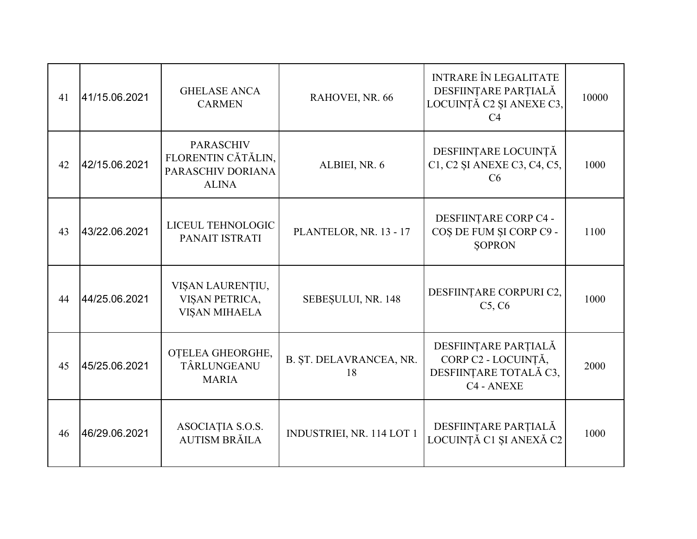| 41 | 41/15.06.2021 | <b>GHELASE ANCA</b><br><b>CARMEN</b>                                        | RAHOVEI, NR. 66               | <b>INTRARE ÎN LEGALITATE</b><br>DESFIINȚARE PARȚIALĂ<br>LOCUINȚĂ C2 ȘI ANEXE C3,<br>C <sub>4</sub> | 10000 |
|----|---------------|-----------------------------------------------------------------------------|-------------------------------|----------------------------------------------------------------------------------------------------|-------|
| 42 | 42/15.06.2021 | <b>PARASCHIV</b><br>FLORENTIN CĂTĂLIN,<br>PARASCHIV DORIANA<br><b>ALINA</b> | ALBIEI, NR. 6                 | DESFIINȚARE LOCUINȚĂ<br>C1, C2 SI ANEXE C3, C4, C5,<br>C6                                          | 1000  |
| 43 | 43/22.06.2021 | LICEUL TEHNOLOGIC<br>PANAIT ISTRATI                                         | PLANTELOR, NR. 13 - 17        | DESFIINȚARE CORP C4 -<br>COȘ DE FUM ȘI CORP C9 -<br><b>SOPRON</b>                                  | 1100  |
| 44 | 44/25.06.2021 | VIȘAN LAURENȚIU,<br>VIȘAN PETRICA,<br>VIȘAN MIHAELA                         | SEBESULUI, NR. 148            | DESFIINȚARE CORPURI C2,<br>C5, C6                                                                  | 1000  |
| 45 | 45/25.06.2021 | OTELEA GHEORGHE,<br>TÂRLUNGEANU<br><b>MARIA</b>                             | B. ȘT. DELAVRANCEA, NR.<br>18 | DESFIINȚARE PARȚIALĂ<br>CORP C2 - LOCUINȚĂ,<br>DESFIINȚARE TOTALĂ C3,<br>C4 - ANEXE                | 2000  |
| 46 | 46/29.06.2021 | ASOCIAȚIA S.O.S.<br><b>AUTISM BRĂILA</b>                                    | INDUSTRIEI, NR. 114 LOT 1     | DESFIINȚARE PARȚIALĂ<br>LOCUINȚĂ C1 ȘI ANEXĂ C2                                                    | 1000  |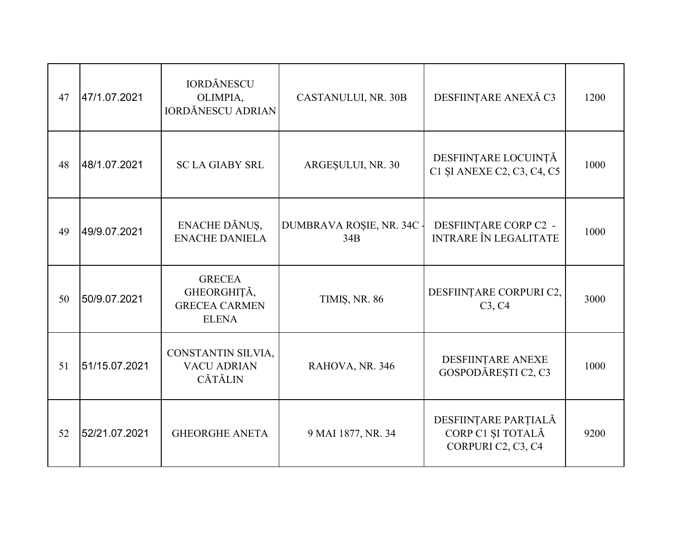| 47 | 47/1.07.2021  | <b>IORDĂNESCU</b><br>OLIMPIA,<br><b>IORDĂNESCU ADRIAN</b>            | CASTANULUI, NR. 30B              | DESFIINȚARE ANEXĂ C3                                            | 1200 |
|----|---------------|----------------------------------------------------------------------|----------------------------------|-----------------------------------------------------------------|------|
| 48 | 48/1.07.2021  | <b>SC LA GIABY SRL</b>                                               | ARGESULUI, NR. 30                | DESFIINȚARE LOCUINȚĂ<br>C1 SI ANEXE C2, C3, C4, C5              | 1000 |
| 49 | 49/9.07.2021  | ENACHE DĂNUS,<br><b>ENACHE DANIELA</b>                               | DUMBRAVA ROȘIE, NR. 34C -<br>34B | DESFIINȚARE CORP C2 -<br><b>INTRARE ÎN LEGALITATE</b>           | 1000 |
| 50 | 50/9.07.2021  | <b>GRECEA</b><br>GHEORGHIȚĂ,<br><b>GRECEA CARMEN</b><br><b>ELENA</b> | TIMIȘ, NR. 86                    | DESFIINȚARE CORPURI C2,<br>C3, C4                               | 3000 |
| 51 | 51/15.07.2021 | CONSTANTIN SILVIA,<br><b>VACU ADRIAN</b><br><b>CĂTĂLIN</b>           | RAHOVA, NR. 346                  | DESFIINȚARE ANEXE<br>GOSPODĂREȘTI C2, C3                        | 1000 |
| 52 | 52/21.07.2021 | <b>GHEORGHE ANETA</b>                                                | 9 MAI 1877, NR. 34               | DESFIINȚARE PARȚIALĂ<br>CORP C1 ȘI TOTALĂ<br>CORPURI C2, C3, C4 | 9200 |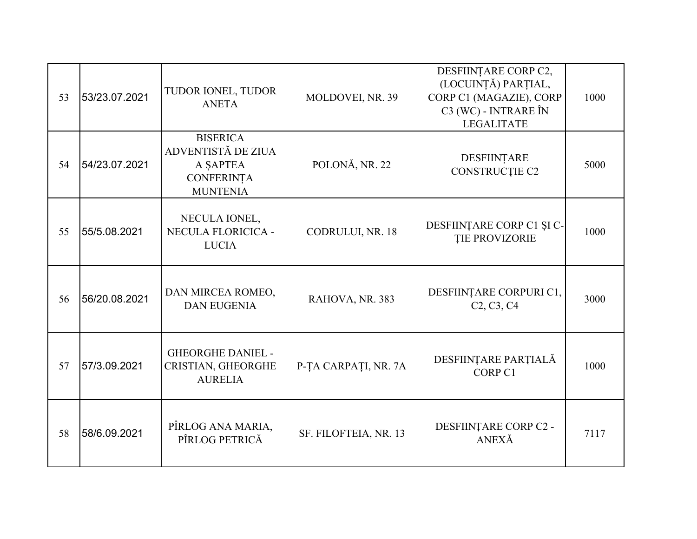| 53 | 53/23.07.2021 | TUDOR IONEL, TUDOR<br><b>ANETA</b>                                                        | MOLDOVEI, NR. 39      | DESFIINȚARE CORP C2,<br>(LOCUINȚĂ) PARȚIAL,<br>CORP C1 (MAGAZIE), CORP<br>C3 (WC) - INTRARE ÎN<br><b>LEGALITATE</b> | 1000 |
|----|---------------|-------------------------------------------------------------------------------------------|-----------------------|---------------------------------------------------------------------------------------------------------------------|------|
| 54 | 54/23.07.2021 | <b>BISERICA</b><br>ADVENTISTĂ DE ZIUA<br>A SAPTEA<br><b>CONFERINȚA</b><br><b>MUNTENIA</b> | POLONĂ, NR. 22        | DESFIINTARE<br>CONSTRUCȚIE C2                                                                                       | 5000 |
| 55 | 55/5.08.2021  | NECULA IONEL,<br>NECULA FLORICICA -<br><b>LUCIA</b>                                       | CODRULUI, NR. 18      | DESFIINȚARE CORP C1 ȘI C-<br><b>TIE PROVIZORIE</b>                                                                  | 1000 |
| 56 | 56/20.08.2021 | DAN MIRCEA ROMEO,<br><b>DAN EUGENIA</b>                                                   | RAHOVA, NR. 383       | DESFIINȚARE CORPURI C1,<br>C <sub>2</sub> , C <sub>3</sub> , C <sub>4</sub>                                         | 3000 |
| 57 | 57/3.09.2021  | <b>GHEORGHE DANIEL -</b><br>CRISTIAN, GHEORGHE<br><b>AURELIA</b>                          | P-TA CARPATI, NR. 7A  | DESFIINȚARE PARȚIALĂ<br>CORP C1                                                                                     | 1000 |
| 58 | 58/6.09.2021  | PÎRLOG ANA MARIA,<br>PÎRLOG PETRICĂ                                                       | SF. FILOFTEIA, NR. 13 | DESFIINȚARE CORP C2 -<br>ANEXĂ                                                                                      | 7117 |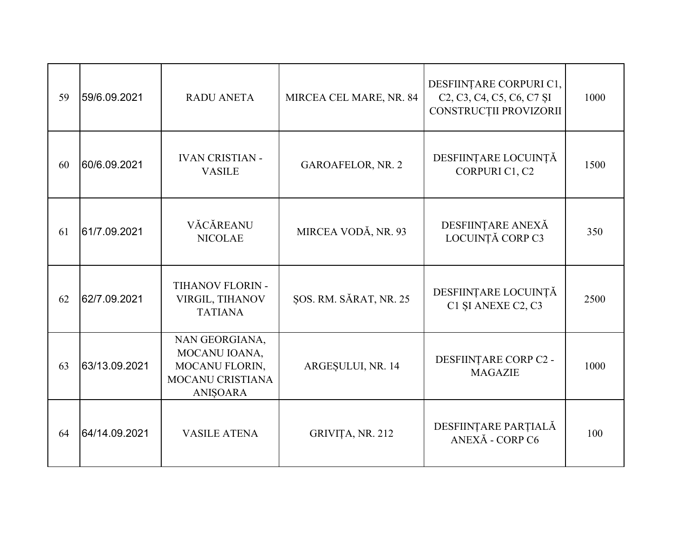| 59 | 59/6.09.2021  | <b>RADU ANETA</b>                                                                        | MIRCEA CEL MARE, NR. 84 | DESFIINȚARE CORPURI C1,<br>C <sub>2</sub> , C <sub>3</sub> , C <sub>4</sub> , C <sub>5</sub> , C <sub>6</sub> , C <sub>7</sub> S <sub>I</sub><br>CONSTRUCȚII PROVIZORII | 1000 |
|----|---------------|------------------------------------------------------------------------------------------|-------------------------|-------------------------------------------------------------------------------------------------------------------------------------------------------------------------|------|
| 60 | 60/6.09.2021  | <b>IVAN CRISTIAN -</b><br><b>VASILE</b>                                                  | GAROAFELOR, NR. 2       | DESFIINȚARE LOCUINȚĂ<br>CORPURI C1, C2                                                                                                                                  | 1500 |
| 61 | 61/7.09.2021  | VĂCĂREANU<br><b>NICOLAE</b>                                                              | MIRCEA VODĂ, NR. 93     | DESFIINȚARE ANEXĂ<br>LOCUINȚĂ CORP C3                                                                                                                                   | 350  |
| 62 | 62/7.09.2021  | TIHANOV FLORIN -<br>VIRGIL, TIHANOV<br><b>TATIANA</b>                                    | ŞOS. RM. SĂRAT, NR. 25  | DESFIINȚARE LOCUINȚĂ<br>C1 SI ANEXE C2, C3                                                                                                                              | 2500 |
| 63 | 63/13.09.2021 | NAN GEORGIANA,<br>MOCANU IOANA,<br>MOCANU FLORIN,<br>MOCANU CRISTIANA<br><b>ANIŞOARA</b> | ARGESULUI, NR. 14       | DESFIINȚARE CORP C2 -<br><b>MAGAZIE</b>                                                                                                                                 | 1000 |
| 64 | 64/14.09.2021 | <b>VASILE ATENA</b>                                                                      | GRIVIȚA, NR. 212        | DESFIINȚARE PARȚIALĂ<br>ANEXĂ - CORP C6                                                                                                                                 | 100  |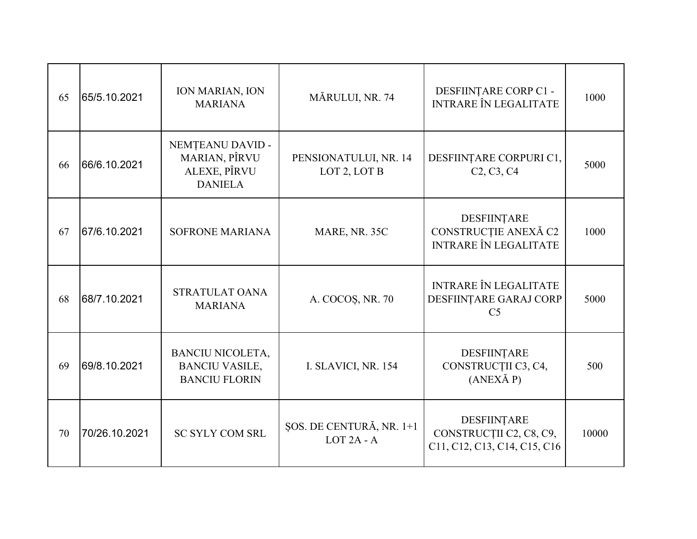| 65 | 65/5.10.2021  | <b>ION MARIAN, ION</b><br><b>MARIANA</b>                                 | MĂRULUI, NR. 74                                   | DESFIINȚARE CORP C1 -<br><b>INTRARE ÎN LEGALITATE</b>                       | 1000  |
|----|---------------|--------------------------------------------------------------------------|---------------------------------------------------|-----------------------------------------------------------------------------|-------|
| 66 | 66/6.10.2021  | NEMȚEANU DAVID -<br>MARIAN, PÎRVU<br>ALEXE, PÎRVU<br><b>DANIELA</b>      | PENSIONATULUI, NR. 14<br>LOT 2, LOT B             | DESFIINȚARE CORPURI C1,<br>C <sub>2</sub> , C <sub>3</sub> , C <sub>4</sub> | 5000  |
| 67 | 67/6.10.2021  | <b>SOFRONE MARIANA</b>                                                   | MARE, NR. 35C                                     | DESFIINTARE<br>CONSTRUCȚIE ANEXĂ C2<br><b>INTRARE ÎN LEGALITATE</b>         | 1000  |
| 68 | 68/7.10.2021  | STRATULAT OANA<br><b>MARIANA</b>                                         | A. COCOS, NR. 70                                  | <b>INTRARE ÎN LEGALITATE</b><br>DESFIINȚARE GARAJ CORP<br>C <sub>5</sub>    | 5000  |
| 69 | 69/8.10.2021  | <b>BANCIU NICOLETA,</b><br><b>BANCIU VASILE,</b><br><b>BANCIU FLORIN</b> | I. SLAVICI, NR. 154                               | DESFIINȚARE<br>CONSTRUCȚII C3, C4,<br>$(ANEX\check{A}P)$                    | 500   |
| 70 | 70/26.10.2021 | <b>SC SYLY COM SRL</b>                                                   | ŞOS. DE CENTURĂ, NR. 1+1<br>LOT <sub>2A</sub> - A | DESFIINȚARE<br>CONSTRUCȚII C2, C8, C9,<br>C11, C12, C13, C14, C15, C16      | 10000 |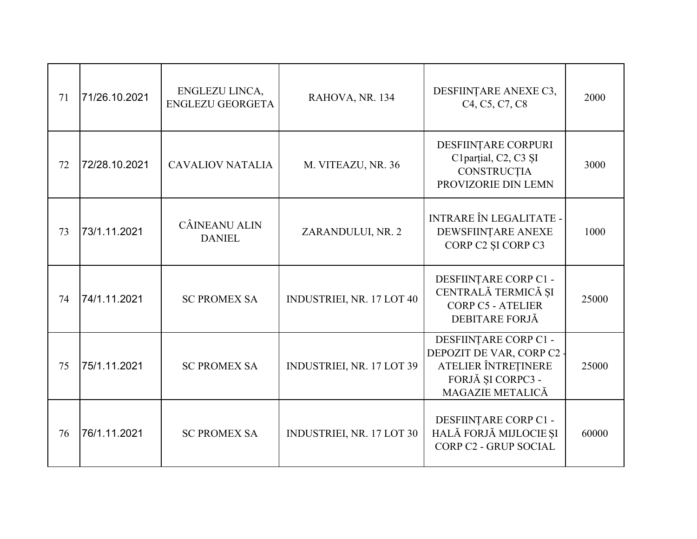| 71 | 71/26.10.2021 | ENGLEZU LINCA,<br><b>ENGLEZU GEORGETA</b> | RAHOVA, NR. 134                  | DESFIINȚARE ANEXE C3,<br>C <sub>4</sub> , C <sub>5</sub> , C <sub>7</sub> , C <sub>8</sub>                       | 2000  |
|----|---------------|-------------------------------------------|----------------------------------|------------------------------------------------------------------------------------------------------------------|-------|
| 72 | 72/28.10.2021 | <b>CAVALIOV NATALIA</b>                   | M. VITEAZU, NR. 36               | DESFIINȚARE CORPURI<br>C1parțial, C2, C3 ȘI<br>CONSTRUCȚIA<br>PROVIZORIE DIN LEMN                                | 3000  |
| 73 | 73/1.11.2021  | CÂINEANU ALIN<br><b>DANIEL</b>            | ZARANDULUI, NR. 2                | <b>INTRARE ÎN LEGALITATE -</b><br>DEWSFIINTARE ANEXE<br>CORP C2 ȘI CORP C3                                       | 1000  |
| 74 | 74/1.11.2021  | <b>SC PROMEX SA</b>                       | INDUSTRIEI, NR. 17 LOT 40        | DESFIINȚARE CORP C1 -<br>CENTRALĂ TERMICĂ ȘI<br><b>CORP C5 - ATELIER</b><br>DEBITARE FORJĂ                       | 25000 |
| 75 | 75/1.11.2021  | <b>SC PROMEX SA</b>                       | INDUSTRIEI, NR. 17 LOT 39        | DESFIINȚARE CORP C1 -<br>DEPOZIT DE VAR, CORP C2<br>ATELIER ÎNTREȚINERE<br>FORJĂ ȘI CORPC3 -<br>MAGAZIE METALICĂ | 25000 |
| 76 | 76/1.11.2021  | <b>SC PROMEX SA</b>                       | <b>INDUSTRIEI, NR. 17 LOT 30</b> | DESFIINȚARE CORP C1 -<br>HALĂ FORJĂ MIJLOCIE ȘI<br>CORP C2 - GRUP SOCIAL                                         | 60000 |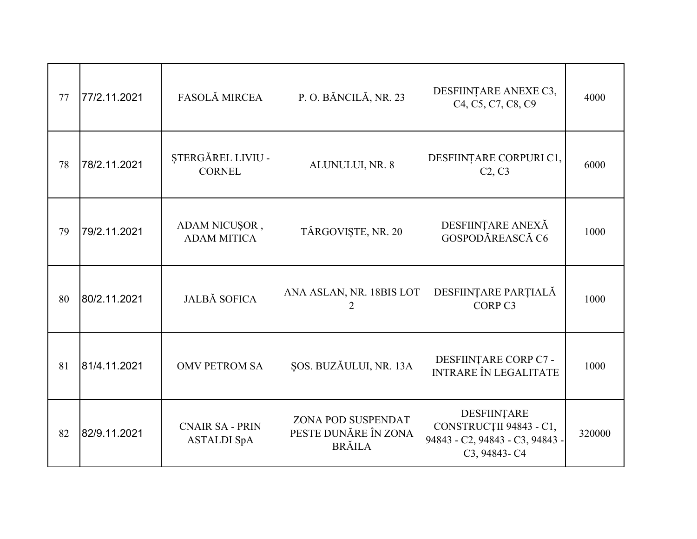| 77 | 77/2.11.2021 | <b>FASOLĂ MIRCEA</b>                         | P.O. BĂNCILĂ, NR. 23                                        | DESFIINȚARE ANEXE C3,<br>C <sub>4</sub> , C <sub>5</sub> , C <sub>7</sub> , C <sub>8</sub> , C <sub>9</sub> | 4000   |
|----|--------------|----------------------------------------------|-------------------------------------------------------------|-------------------------------------------------------------------------------------------------------------|--------|
| 78 | 78/2.11.2021 | ȘTERGĂREL LIVIU -<br><b>CORNEL</b>           | ALUNULUI, NR. 8                                             | DESFIINȚARE CORPURI C1,<br>C2, C3                                                                           | 6000   |
| 79 | 79/2.11.2021 | ADAM NICUȘOR,<br><b>ADAM MITICA</b>          | TÂRGOVIȘTE, NR. 20                                          | DESFIINȚARE ANEXĂ<br>GOSPODĂREASCĂ C6                                                                       | 1000   |
| 80 | 80/2.11.2021 | <b>JALBĂ SOFICA</b>                          | ANA ASLAN, NR. 18BIS LOT                                    | DESFIINȚARE PARȚIALĂ<br>CORP <sub>C3</sub>                                                                  | 1000   |
| 81 | 81/4.11.2021 | <b>OMV PETROM SA</b>                         | ŞOS. BUZĂULUI, NR. 13A                                      | DESFIINȚARE CORP C7 -<br><b>INTRARE ÎN LEGALITATE</b>                                                       | 1000   |
| 82 | 82/9.11.2021 | <b>CNAIR SA - PRIN</b><br><b>ASTALDI SpA</b> | ZONA POD SUSPENDAT<br>PESTE DUNĂRE ÎN ZONA<br><b>BRĂILA</b> | DESFIINȚARE<br>CONSTRUCȚII 94843 - C1,<br>94843 - C2, 94843 - C3, 94843 -<br>C3, 94843-C4                   | 320000 |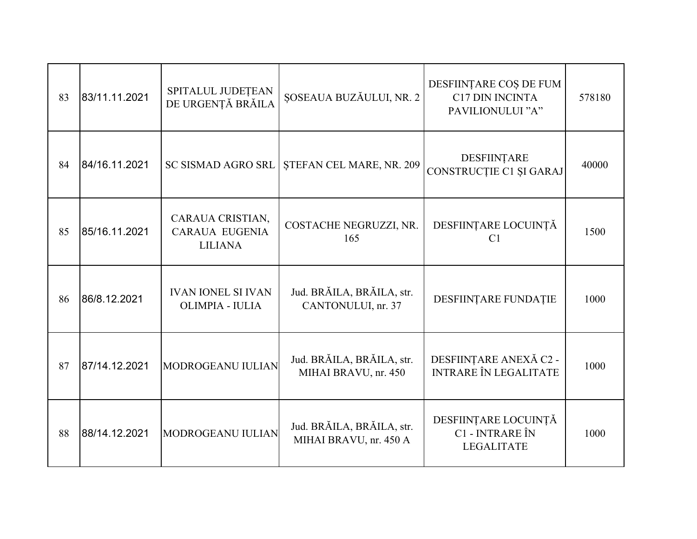| 83 | 83/11.11.2021 | SPITALUL JUDEȚEAN<br>DE URGENȚĂ BRĂILA                      | ȘOSEAUA BUZĂULUI, NR. 2                             | DESFIINȚARE COȘ DE FUM<br><b>C17 DIN INCINTA</b><br>PAVILIONULUI "A" | 578180 |
|----|---------------|-------------------------------------------------------------|-----------------------------------------------------|----------------------------------------------------------------------|--------|
| 84 | 84/16.11.2021 | <b>SC SISMAD AGRO SRL</b>                                   | ŞTEFAN CEL MARE, NR. 209                            | DESFIINȚARE<br>CONSTRUCȚIE C1 ȘI GARAJ                               | 40000  |
| 85 | 85/16.11.2021 | CARAUA CRISTIAN,<br><b>CARAUA EUGENIA</b><br><b>LILIANA</b> | COSTACHE NEGRUZZI, NR.<br>165                       | DESFIINȚARE LOCUINȚĂ<br>C1                                           | 1500   |
| 86 | 86/8.12.2021  | <b>IVAN IONEL SI IVAN</b><br>OLIMPIA - IULIA                | Jud. BRĂILA, BRĂILA, str.<br>CANTONULUI, nr. 37     | DESFIINTARE FUNDATIE                                                 | 1000   |
| 87 | 87/14.12.2021 | MODROGEANU IULIAN                                           | Jud. BRĂILA, BRĂILA, str.<br>MIHAI BRAVU, nr. 450   | DESFIINȚARE ANEXĂ C2 -<br><b>INTRARE ÎN LEGALITATE</b>               | 1000   |
| 88 | 88/14.12.2021 | MODROGEANU IULIAN                                           | Jud. BRĂILA, BRĂILA, str.<br>MIHAI BRAVU, nr. 450 A | DESFIINȚARE LOCUINȚĂ<br>C1 - INTRARE ÎN<br><b>LEGALITATE</b>         | 1000   |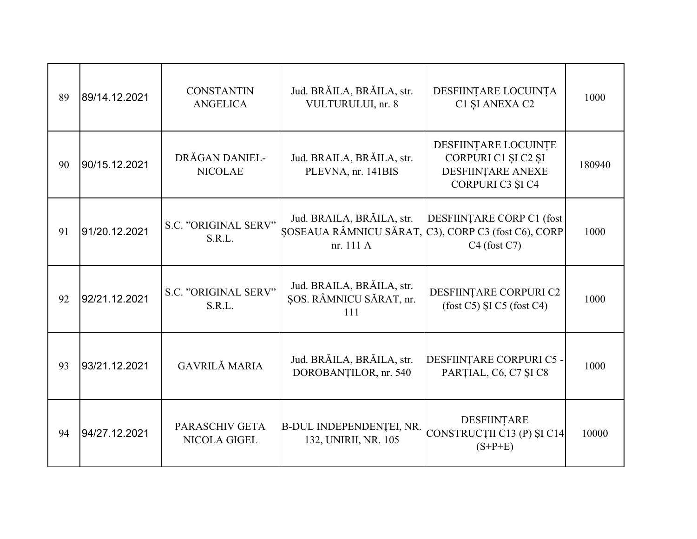| 89 | 89/14.12.2021 | <b>CONSTANTIN</b><br><b>ANGELICA</b> | Jud. BRĂILA, BRĂILA, str.<br>VULTURULUI, nr. 8                   | DESFIINȚARE LOCUINȚA<br>C1 ȘI ANEXA C2                                               | 1000   |
|----|---------------|--------------------------------------|------------------------------------------------------------------|--------------------------------------------------------------------------------------|--------|
| 90 | 90/15.12.2021 | DRĂGAN DANIEL-<br><b>NICOLAE</b>     | Jud. BRAILA, BRĂILA, str.<br>PLEVNA, nr. 141BIS                  | DESFIINȚARE LOCUINȚE<br>CORPURI C1 ȘI C2 ȘI<br>DESFIINȚARE ANEXE<br>CORPURI C3 ȘI C4 | 180940 |
| 91 | 91/20.12.2021 | S.C. "ORIGINAL SERV"<br>S.R.L.       | Jud. BRAILA, BRĂILA, str.<br>ȘOSEAUA RÂMNICU SĂRAT,<br>nr. 111 A | DESFIINTARE CORP C1 (fost<br>C3), CORP C3 (fost C6), CORP<br>$C4$ (fost $C7$ )       | 1000   |
| 92 | 92/21.12.2021 | S.C. "ORIGINAL SERV"<br>S.R.L.       | Jud. BRAILA, BRAILA, str.<br>SOS. RÂMNICU SĂRAT, nr.<br>111      | DESFIINȚARE CORPURI C2<br>$(fost C5)$ ȘI C5 $(fost C4)$                              | 1000   |
| 93 | 93/21.12.2021 | <b>GAVRILĂ MARIA</b>                 | Jud. BRĂILA, BRĂILA, str.<br>DOROBANȚILOR, nr. 540               | DESFIINȚARE CORPURI C5 -<br>PARȚIAL, C6, C7 ȘI C8                                    | 1000   |
| 94 | 94/27.12.2021 | PARASCHIV GETA<br>NICOLA GIGEL       | B-DUL INDEPENDENTEI, NR.<br>132, UNIRII, NR. 105                 | DESFIINTARE<br>CONSTRUCȚII C13 (P) ȘI C14<br>$(S+P+E)$                               | 10000  |